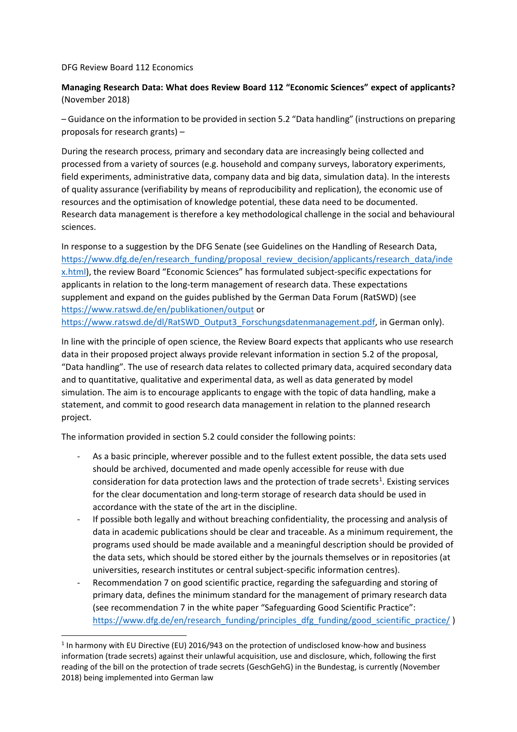DFG Review Board 112 Economics

1

## **Managing Research Data: What does Review Board 112 "Economic Sciences" expect of applicants?**  (November 2018)

– Guidance on the information to be provided in section 5.2 "Data handling" (instructions on preparing proposals for research grants) –

During the research process, primary and secondary data are increasingly being collected and processed from a variety of sources (e.g. household and company surveys, laboratory experiments, field experiments, administrative data, company data and big data, simulation data). In the interests of quality assurance (verifiability by means of reproducibility and replication), the economic use of resources and the optimisation of knowledge potential, these data need to be documented. Research data management is therefore a key methodological challenge in the social and behavioural sciences.

In response to a suggestion by the DFG Senate (see Guidelines on the Handling of Research Data, [https://www.dfg.de/en/research\\_funding/proposal\\_review\\_decision/applicants/research\\_data/inde](http://www.dfg.de/en/research_funding/proposal_review_decision/applicants/research_data/index.html) [x.html\)](http://www.dfg.de/en/research_funding/proposal_review_decision/applicants/research_data/index.html), the review Board "Economic Sciences" has formulated subject-specific expectations for applicants in relation to the long-term management of research data. These expectations supplement and expand on the guides published by the German Data Forum (RatSWD) (see <https://www.ratswd.de/en/publikationen/output> or [https://www.ratswd.de/dl/RatSWD\\_Output3\\_Forschungsdatenmanagement.pdf,](https://www.ratswd.de/dl/RatSWD_Output3_Forschungsdatenmanagement.pdf) in German only).

In line with the principle of open science, the Review Board expects that applicants who use research data in their proposed project always provide relevant information in section 5.2 of the proposal, "Data handling". The use of research data relates to collected primary data, acquired secondary data and to quantitative, qualitative and experimental data, as well as data generated by model simulation. The aim is to encourage applicants to engage with the topic of data handling, make a statement, and commit to good research data management in relation to the planned research project.

The information provided in section 5.2 could consider the following points:

- As a basic principle, wherever possible and to the fullest extent possible, the data sets used should be archived, documented and made openly accessible for reuse with due consideration for data protection laws and the protection of trade secrets<sup>1</sup>. Existing services for the clear documentation and long-term storage of research data should be used in accordance with the state of the art in the discipline.
- If possible both legally and without breaching confidentiality, the processing and analysis of data in academic publications should be clear and traceable. As a minimum requirement, the programs used should be made available and a meaningful description should be provided of the data sets, which should be stored either by the journals themselves or in repositories (at universities, research institutes or central subject-specific information centres).
- Recommendation 7 on good scientific practice, regarding the safeguarding and storing of primary data, defines the minimum standard for the management of primary research data (see recommendation 7 in the white paper "Safeguarding Good Scientific Practice": [https://www.dfg.de/en/research\\_funding/principles\\_dfg\\_funding/good\\_scientific\\_practice/](http://www.dfg.de/en/research_funding/principles_dfg_funding/good_scientific_practice/index.html) )

 $<sup>1</sup>$  In harmony with EU Directive (EU) 2016/943 on the protection of undisclosed know-how and business</sup> information (trade secrets) against their unlawful acquisition, use and disclosure, which, following the first reading of the bill on the protection of trade secrets (GeschGehG) in the Bundestag, is currently (November 2018) being implemented into German law